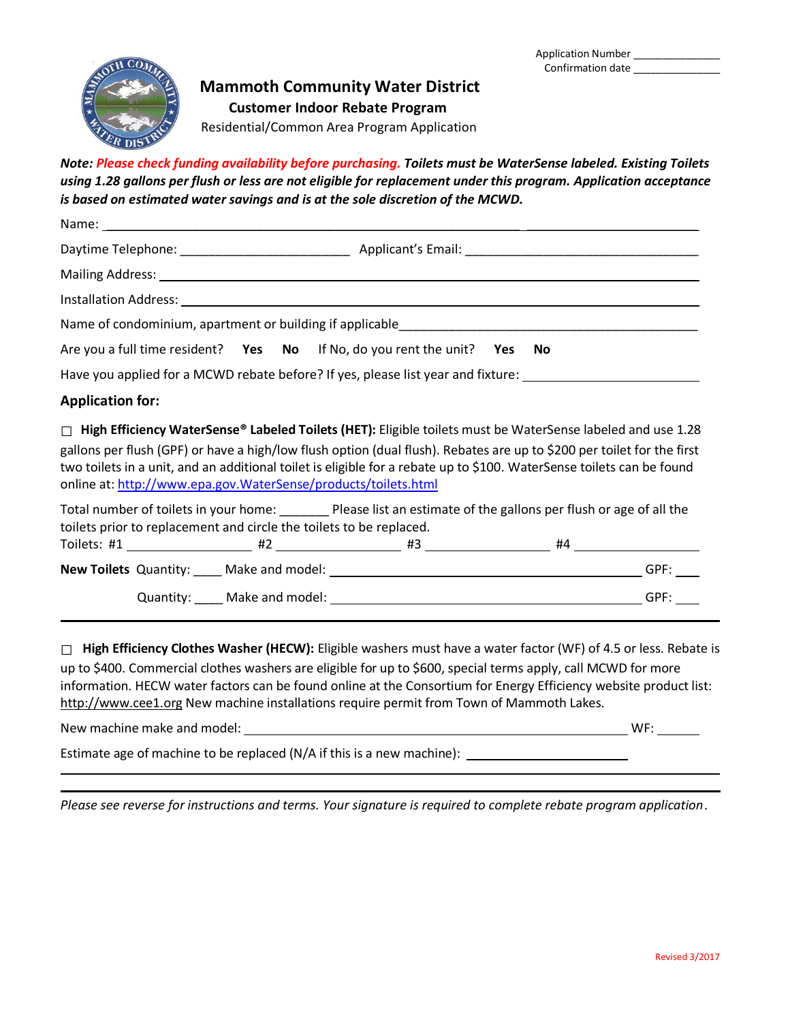

## **Mammoth Community Water District**

**Customer Indoor Rebate Program**

Residential/Common Area Program Application

*Note: Please check funding availability before purchasing. Toilets must be WaterSense labeled. Existing Toilets using 1.28 gallons per flush or less are not eligible for replacement under this program. Application acceptance is based on estimated water savings and is at the sole discretion of the MCWD.*

| Are you a full time resident? Yes No If No, do you rent the unit? Yes No                                                                                                                                                                                                                                                                                                                                                                |  |  |
|-----------------------------------------------------------------------------------------------------------------------------------------------------------------------------------------------------------------------------------------------------------------------------------------------------------------------------------------------------------------------------------------------------------------------------------------|--|--|
| Have you applied for a MCWD rebate before? If yes, please list year and fixture: ____________________________                                                                                                                                                                                                                                                                                                                           |  |  |
| <b>Application for:</b>                                                                                                                                                                                                                                                                                                                                                                                                                 |  |  |
| $\Box$ High Efficiency WaterSense® Labeled Toilets (HET): Eligible toilets must be WaterSense labeled and use 1.28<br>gallons per flush (GPF) or have a high/low flush option (dual flush). Rebates are up to \$200 per toilet for the first<br>two toilets in a unit, and an additional toilet is eligible for a rebate up to \$100. WaterSense toilets can be found<br>online at: http://www.epa.gov.WaterSense/products/toilets.html |  |  |
| Total number of toilets in your home:<br>Please list an estimate of the gallons per flush or age of all the<br>toilets prior to replacement and circle the toilets to be replaced.                                                                                                                                                                                                                                                      |  |  |
|                                                                                                                                                                                                                                                                                                                                                                                                                                         |  |  |

## **New Toilets** Quantity: \_\_\_\_ Make and model: GPF: Quantity: \_\_\_\_ Make and model: GPF:

□ **High Efficiency Clothes Washer (HECW):** Eligible washers must have a water factor (WF) of 4.5 or less. Rebate is up to \$400. Commercial clothes washers are eligible for up to \$600, special terms apply, call MCWD for more information. HECW water factors can be found online at the Consortium for Energy Efficiency website product list: [http://www.cee1.org](http://www.cee1.org/) New machine installations require permit from Town of Mammoth Lakes.

New machine make and model: WF:

Estimate age of machine to be replaced (N/A if this is a new machine):

*Please see reverse for instructions and terms. Your signature is required to complete rebate program application*.